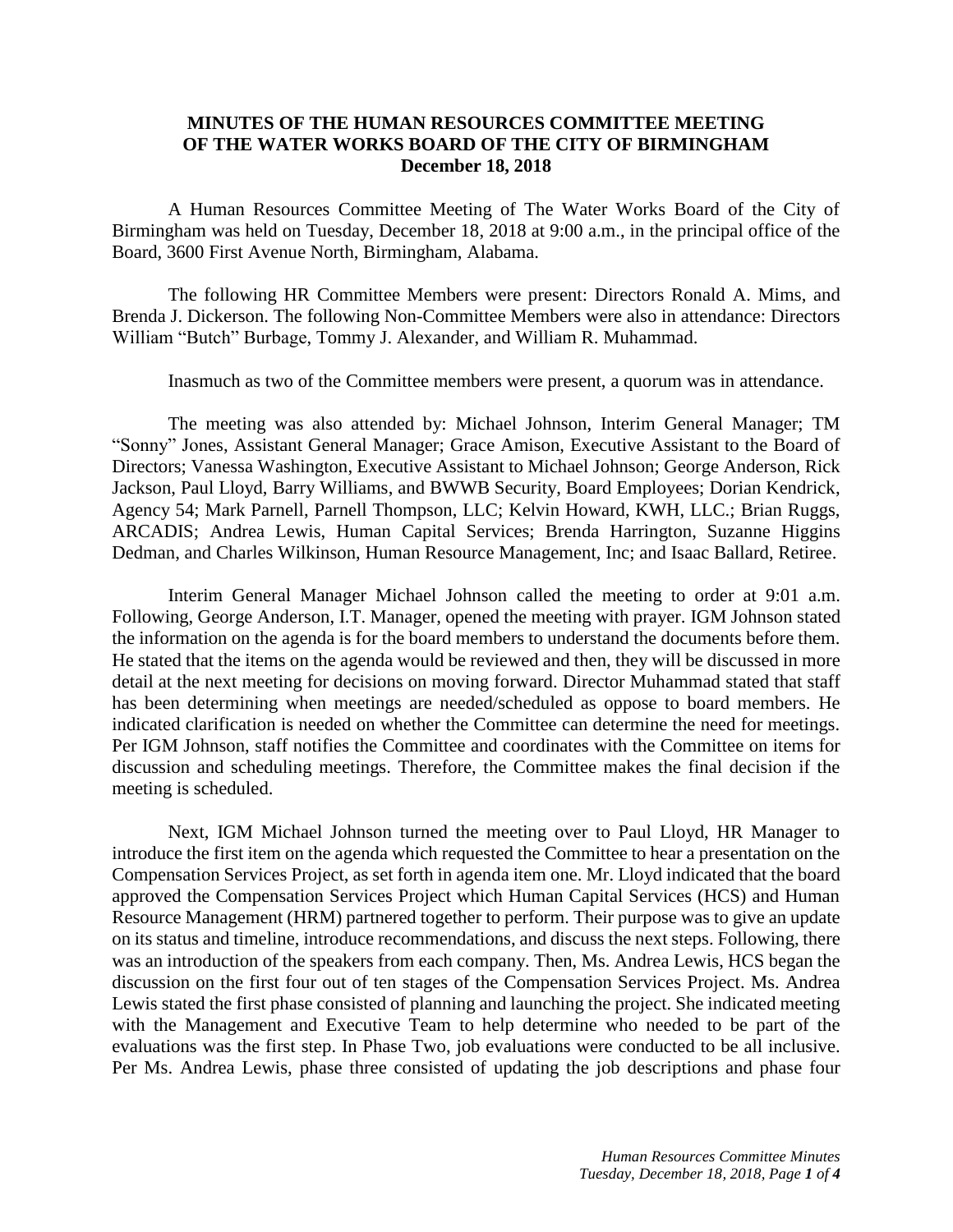## **MINUTES OF THE HUMAN RESOURCES COMMITTEE MEETING OF THE WATER WORKS BOARD OF THE CITY OF BIRMINGHAM December 18, 2018**

A Human Resources Committee Meeting of The Water Works Board of the City of Birmingham was held on Tuesday, December 18, 2018 at 9:00 a.m., in the principal office of the Board, 3600 First Avenue North, Birmingham, Alabama.

The following HR Committee Members were present: Directors Ronald A. Mims, and Brenda J. Dickerson. The following Non-Committee Members were also in attendance: Directors William "Butch" Burbage, Tommy J. Alexander, and William R. Muhammad.

Inasmuch as two of the Committee members were present, a quorum was in attendance.

The meeting was also attended by: Michael Johnson, Interim General Manager; TM "Sonny" Jones, Assistant General Manager; Grace Amison, Executive Assistant to the Board of Directors; Vanessa Washington, Executive Assistant to Michael Johnson; George Anderson, Rick Jackson, Paul Lloyd, Barry Williams, and BWWB Security, Board Employees; Dorian Kendrick, Agency 54; Mark Parnell, Parnell Thompson, LLC; Kelvin Howard, KWH, LLC.; Brian Ruggs, ARCADIS; Andrea Lewis, Human Capital Services; Brenda Harrington, Suzanne Higgins Dedman, and Charles Wilkinson, Human Resource Management, Inc; and Isaac Ballard, Retiree.

Interim General Manager Michael Johnson called the meeting to order at 9:01 a.m. Following, George Anderson, I.T. Manager, opened the meeting with prayer. IGM Johnson stated the information on the agenda is for the board members to understand the documents before them. He stated that the items on the agenda would be reviewed and then, they will be discussed in more detail at the next meeting for decisions on moving forward. Director Muhammad stated that staff has been determining when meetings are needed/scheduled as oppose to board members. He indicated clarification is needed on whether the Committee can determine the need for meetings. Per IGM Johnson, staff notifies the Committee and coordinates with the Committee on items for discussion and scheduling meetings. Therefore, the Committee makes the final decision if the meeting is scheduled.

Next, IGM Michael Johnson turned the meeting over to Paul Lloyd, HR Manager to introduce the first item on the agenda which requested the Committee to hear a presentation on the Compensation Services Project, as set forth in agenda item one. Mr. Lloyd indicated that the board approved the Compensation Services Project which Human Capital Services (HCS) and Human Resource Management (HRM) partnered together to perform. Their purpose was to give an update on its status and timeline, introduce recommendations, and discuss the next steps. Following, there was an introduction of the speakers from each company. Then, Ms. Andrea Lewis, HCS began the discussion on the first four out of ten stages of the Compensation Services Project. Ms. Andrea Lewis stated the first phase consisted of planning and launching the project. She indicated meeting with the Management and Executive Team to help determine who needed to be part of the evaluations was the first step. In Phase Two, job evaluations were conducted to be all inclusive. Per Ms. Andrea Lewis, phase three consisted of updating the job descriptions and phase four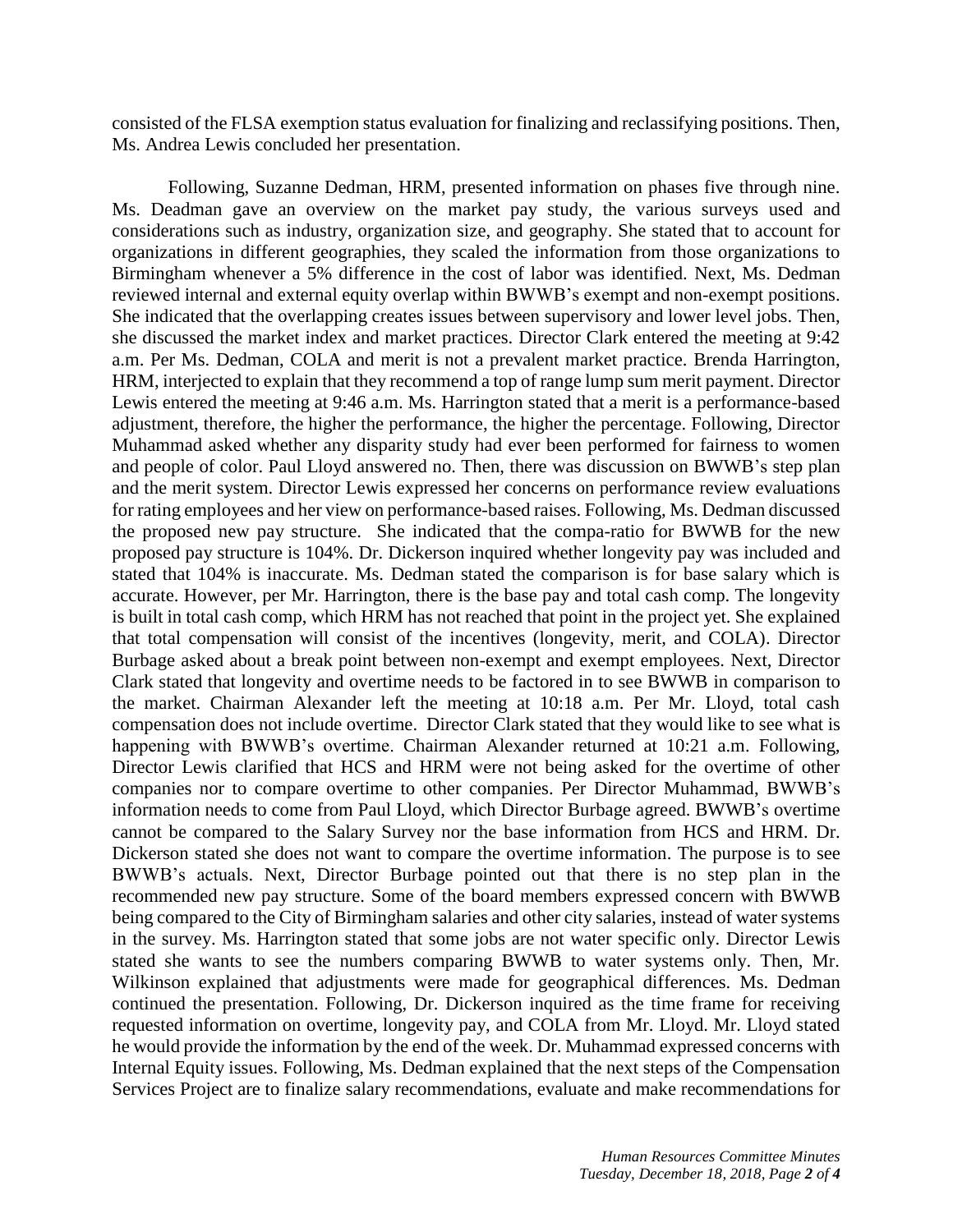consisted of the FLSA exemption status evaluation for finalizing and reclassifying positions. Then, Ms. Andrea Lewis concluded her presentation.

Following, Suzanne Dedman, HRM, presented information on phases five through nine. Ms. Deadman gave an overview on the market pay study, the various surveys used and considerations such as industry, organization size, and geography. She stated that to account for organizations in different geographies, they scaled the information from those organizations to Birmingham whenever a 5% difference in the cost of labor was identified. Next, Ms. Dedman reviewed internal and external equity overlap within BWWB's exempt and non-exempt positions. She indicated that the overlapping creates issues between supervisory and lower level jobs. Then, she discussed the market index and market practices. Director Clark entered the meeting at 9:42 a.m. Per Ms. Dedman, COLA and merit is not a prevalent market practice. Brenda Harrington, HRM, interjected to explain that they recommend a top of range lump sum merit payment. Director Lewis entered the meeting at 9:46 a.m. Ms. Harrington stated that a merit is a performance-based adjustment, therefore, the higher the performance, the higher the percentage. Following, Director Muhammad asked whether any disparity study had ever been performed for fairness to women and people of color. Paul Lloyd answered no. Then, there was discussion on BWWB's step plan and the merit system. Director Lewis expressed her concerns on performance review evaluations for rating employees and her view on performance-based raises. Following, Ms. Dedman discussed the proposed new pay structure. She indicated that the compa-ratio for BWWB for the new proposed pay structure is 104%. Dr. Dickerson inquired whether longevity pay was included and stated that 104% is inaccurate. Ms. Dedman stated the comparison is for base salary which is accurate. However, per Mr. Harrington, there is the base pay and total cash comp. The longevity is built in total cash comp, which HRM has not reached that point in the project yet. She explained that total compensation will consist of the incentives (longevity, merit, and COLA). Director Burbage asked about a break point between non-exempt and exempt employees. Next, Director Clark stated that longevity and overtime needs to be factored in to see BWWB in comparison to the market. Chairman Alexander left the meeting at 10:18 a.m. Per Mr. Lloyd, total cash compensation does not include overtime. Director Clark stated that they would like to see what is happening with BWWB's overtime. Chairman Alexander returned at 10:21 a.m. Following, Director Lewis clarified that HCS and HRM were not being asked for the overtime of other companies nor to compare overtime to other companies. Per Director Muhammad, BWWB's information needs to come from Paul Lloyd, which Director Burbage agreed. BWWB's overtime cannot be compared to the Salary Survey nor the base information from HCS and HRM. Dr. Dickerson stated she does not want to compare the overtime information. The purpose is to see BWWB's actuals. Next, Director Burbage pointed out that there is no step plan in the recommended new pay structure. Some of the board members expressed concern with BWWB being compared to the City of Birmingham salaries and other city salaries, instead of water systems in the survey. Ms. Harrington stated that some jobs are not water specific only. Director Lewis stated she wants to see the numbers comparing BWWB to water systems only. Then, Mr. Wilkinson explained that adjustments were made for geographical differences. Ms. Dedman continued the presentation. Following, Dr. Dickerson inquired as the time frame for receiving requested information on overtime, longevity pay, and COLA from Mr. Lloyd. Mr. Lloyd stated he would provide the information by the end of the week. Dr. Muhammad expressed concerns with Internal Equity issues. Following, Ms. Dedman explained that the next steps of the Compensation Services Project are to finalize salary recommendations, evaluate and make recommendations for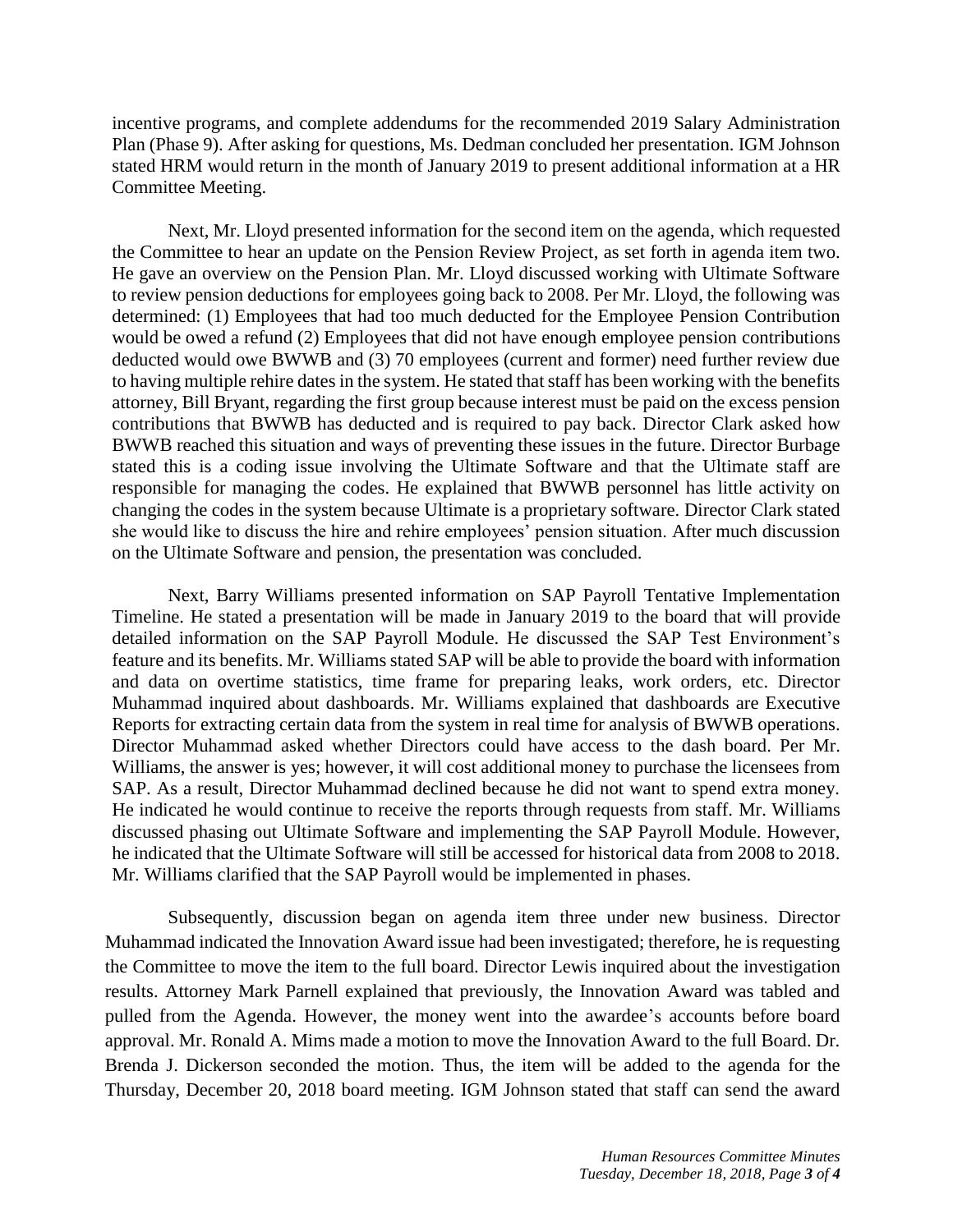incentive programs, and complete addendums for the recommended 2019 Salary Administration Plan (Phase 9). After asking for questions, Ms. Dedman concluded her presentation. IGM Johnson stated HRM would return in the month of January 2019 to present additional information at a HR Committee Meeting.

Next, Mr. Lloyd presented information for the second item on the agenda, which requested the Committee to hear an update on the Pension Review Project, as set forth in agenda item two. He gave an overview on the Pension Plan. Mr. Lloyd discussed working with Ultimate Software to review pension deductions for employees going back to 2008. Per Mr. Lloyd, the following was determined: (1) Employees that had too much deducted for the Employee Pension Contribution would be owed a refund (2) Employees that did not have enough employee pension contributions deducted would owe BWWB and (3) 70 employees (current and former) need further review due to having multiple rehire dates in the system. He stated that staff has been working with the benefits attorney, Bill Bryant, regarding the first group because interest must be paid on the excess pension contributions that BWWB has deducted and is required to pay back. Director Clark asked how BWWB reached this situation and ways of preventing these issues in the future. Director Burbage stated this is a coding issue involving the Ultimate Software and that the Ultimate staff are responsible for managing the codes. He explained that BWWB personnel has little activity on changing the codes in the system because Ultimate is a proprietary software. Director Clark stated she would like to discuss the hire and rehire employees' pension situation. After much discussion on the Ultimate Software and pension, the presentation was concluded.

Next, Barry Williams presented information on SAP Payroll Tentative Implementation Timeline. He stated a presentation will be made in January 2019 to the board that will provide detailed information on the SAP Payroll Module. He discussed the SAP Test Environment's feature and its benefits. Mr. Williams stated SAP will be able to provide the board with information and data on overtime statistics, time frame for preparing leaks, work orders, etc. Director Muhammad inquired about dashboards. Mr. Williams explained that dashboards are Executive Reports for extracting certain data from the system in real time for analysis of BWWB operations. Director Muhammad asked whether Directors could have access to the dash board. Per Mr. Williams, the answer is yes; however, it will cost additional money to purchase the licensees from SAP. As a result, Director Muhammad declined because he did not want to spend extra money. He indicated he would continue to receive the reports through requests from staff. Mr. Williams discussed phasing out Ultimate Software and implementing the SAP Payroll Module. However, he indicated that the Ultimate Software will still be accessed for historical data from 2008 to 2018. Mr. Williams clarified that the SAP Payroll would be implemented in phases.

Subsequently, discussion began on agenda item three under new business. Director Muhammad indicated the Innovation Award issue had been investigated; therefore, he is requesting the Committee to move the item to the full board. Director Lewis inquired about the investigation results. Attorney Mark Parnell explained that previously, the Innovation Award was tabled and pulled from the Agenda. However, the money went into the awardee's accounts before board approval. Mr. Ronald A. Mims made a motion to move the Innovation Award to the full Board. Dr. Brenda J. Dickerson seconded the motion. Thus, the item will be added to the agenda for the Thursday, December 20, 2018 board meeting. IGM Johnson stated that staff can send the award